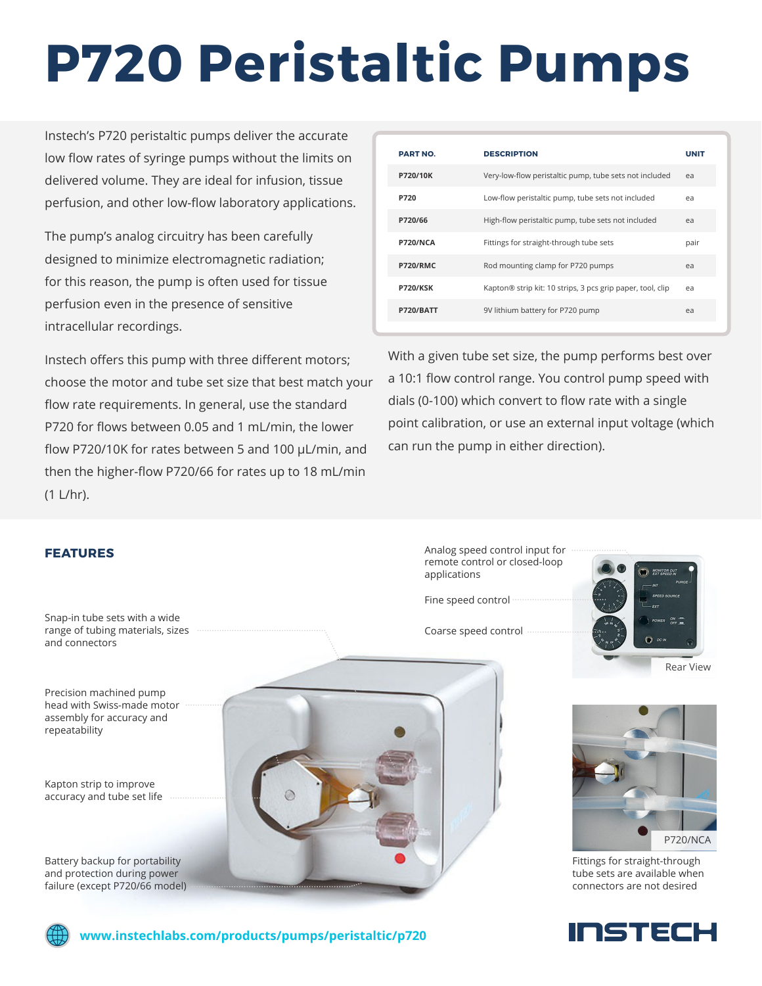# **P720 Peristaltic Pumps**

Instech's P720 peristaltic pumps deliver the accurate low flow rates of syringe pumps without the limits on delivered volume. They are ideal for infusion, tissue perfusion, and other low-flow laboratory applications.

The pump's analog circuitry has been carefully designed to minimize electromagnetic radiation; for this reason, the pump is often used for tissue perfusion even in the presence of sensitive intracellular recordings.

Instech offers this pump with three different motors; choose the motor and tube set size that best match your flow rate requirements. In general, use the standard P720 for flows between 0.05 and 1 mL/min, the lower flow P720/10K for rates between 5 and 100 µL/min, and then the higher-flow P720/66 for rates up to 18 mL/min (1 L/hr).

| <b>PART NO.</b>  | <b>DESCRIPTION</b>                                         | <b>UNIT</b>    |
|------------------|------------------------------------------------------------|----------------|
| P720/10K         | Very-low-flow peristaltic pump, tube sets not included     | e <sub>a</sub> |
| P720             | Low-flow peristaltic pump, tube sets not included          | ea             |
| P720/66          | High-flow peristaltic pump, tube sets not included         | ea             |
| P720/NCA         | Fittings for straight-through tube sets                    | pair           |
| <b>P720/RMC</b>  | Rod mounting clamp for P720 pumps                          | e <sub>a</sub> |
| <b>P720/KSK</b>  | Kapton® strip kit: 10 strips, 3 pcs grip paper, tool, clip | ea             |
| <b>P720/BATT</b> | 9V lithium battery for P720 pump                           | ea             |

With a given tube set size, the pump performs best over a 10:1 flow control range. You control pump speed with dials (0-100) which convert to flow rate with a single point calibration, or use an external input voltage (which can run the pump in either direction).

## **FEATURES**

Snap-in tube sets with a wide range of tubing materials, sizes and connectors

Precision machined pump head with Swiss-made motor assembly for accuracy and repeatability

Kapton strip to improve accuracy and tube set life

Battery backup for portability and protection during power failure (except P720/66 model)



Analog speed control input for remote control or closed-loop applications

Fine speed control

Coarse speed control





Fittings for straight-through tube sets are available when connectors are not desired